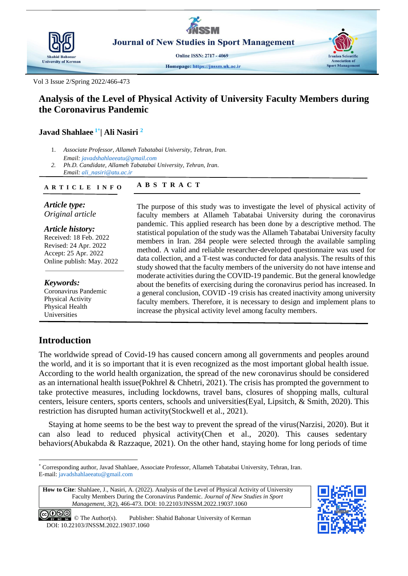

Vol 3 Issue 2/Spring 2022/466-473

# **Analysis of the Level of Physical Activity of University Faculty Members during the Coronavirus Pandemic**

## **Javad Shahlaee 1\* | [Ali Nasiri](https://jnssm.uk.ac.ir/?_action=article&au=33850&_au=Masoomeh++Hamze) <sup>2</sup>**

- 1. *Associate Professor, Allameh Tabatabai University, Tehran, Iran*. *Email[: javadshahlaeeatu@gmail.com](mailto:javadshahlaeeatu@gmail.com)*
- *2. Ph.D. Candidate, Allameh Tabatabai University, Tehran, Iran. Email[: ali\\_nasiri@atu.ac.ir](mailto:ali_nasiri@atu.ac.ir)*

#### **A B S T R A C T A R T I C L E I N F O**

*Article type: Original article*

*Article history:* Received: 18 Feb. 2022 Revised: 24 Apr. 2022 Accept: 25 Apr. 2022 Online publish: May. 2022

*Keywords:* Coronavirus Pandemic Physical Activity Physical Health Universities

# **Introduction**

The purpose of this study was to investigate the level of physical activity of faculty members at Allameh Tabatabai University during the coronavirus pandemic. This applied research has been done by a descriptive method. The statistical population of the study was the Allameh Tabatabai University faculty members in Iran. 284 people were selected through the available sampling method. A valid and reliable researcher-developed questionnaire was used for data collection, and a T-test was conducted for data analysis. The results of this study showed that the faculty members of the university do not have intense and moderate activities during the COVID-19 pandemic. But the general knowledge about the benefits of exercising during the coronavirus period has increased. In a general conclusion, COVID -19 crisis has created inactivity among university faculty members. Therefore, it is necessary to design and implement plans to increase the physical activity level among faculty members.

The worldwide spread of Covid-19 has caused concern among all governments and peoples around the world, and it is so important that it is even recognized as the most important global health issue. According to the world health organization, the spread of the new coronavirus should be considered as an international health issue[\(Pokhrel & Chhetri, 2021\)](#page-6-0). The crisis has prompted the government to take protective measures, including lockdowns, travel bans, closures of shopping malls, cultural centers, leisure centers, sports centers, schools and universities[\(Eyal, Lipsitch, & Smith, 2020\)](#page-6-1). This restriction has disrupted human activity[\(Stockwell et al., 2021\)](#page-6-2).

Staying at home seems to be the best way to prevent the spread of the virus[\(Narzisi, 2020\)](#page-6-3). But it can also lead to reduced physical activity[\(Chen et al., 2020\)](#page-5-0). This causes sedentary behaviors[\(Abukabda & Razzaque, 2021\)](#page-5-1). On the other hand, staying home for long periods of time

**How to Cite**: Shahlaee, J., Nasiri, A. (2022). Analysis of the Level of Physical Activity of University Faculty Members During the Coronavirus Pandemic. *Journal of New Studies in Sport Management*, *3*(2), 466-473. DOI: 10.22103/JNSSM.2022.19037.1060



O SO C The Author(s). Publisher: Shahid Bahonar University of Kerman DOI: 10.22103/JNSSM.2022.19037.1060

<sup>-</sup>\* Corresponding author, Javad Shahlaee, Associate Professor, Allameh Tabatabai University, Tehran, Iran. E-mail: [javadshahlaeeatu@gmail.com](mailto:javadshahlaeeatu@gmail.com)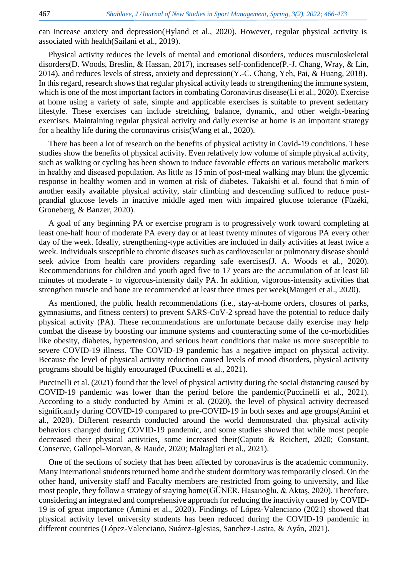can increase anxiety and depression[\(Hyland et al., 2020\)](#page-6-4). However, regular physical activity is associated with health[\(Sailani et al., 2019\)](#page-6-5).

Physical activity reduces the levels of mental and emotional disorders, reduces musculoskeletal disorders[\(D. Woods, Breslin, & Hassan, 2017\)](#page-6-6), increases self-confidence[\(P.-J. Chang, Wray, & Lin,](#page-5-2)  [2014\)](#page-5-2), and reduces levels of stress, anxiety and depression[\(Y.-C. Chang, Yeh, Pai, & Huang, 2018\)](#page-5-3). In this regard, research shows that regular physical activity leads to strengthening the immune system, which is one of the most important factors in combating Coronavirus disease[\(Li et al., 2020\)](#page-6-7). Exercise at home using a variety of safe, simple and applicable exercises is suitable to prevent sedentary lifestyle. These exercises can include stretching, balance, dynamic, and other weight-bearing exercises. Maintaining regular physical activity and daily exercise at home is an important strategy for a healthy life during the coronavirus crisis[\(Wang et al., 2020\)](#page-6-8).

There has been a lot of research on the benefits of physical activity in Covid-19 conditions. These studies show the benefits of physical activity. Even relatively low volume of simple physical activity, such as walking or cycling has been shown to induce favorable effects on various metabolic markers in healthy and diseased population. As little as 15 min of post-meal walking may blunt the glycemic response in healthy women and in women at risk of diabetes. Takaishi et al. found that 6 min of another easily available physical activity, stair climbing and descending sufficed to reduce postprandial glucose levels in inactive middle aged men with impaired glucose tolerance [\(Füzéki,](#page-6-9)  [Groneberg, & Banzer, 2020\)](#page-6-9).

A goal of any beginning PA or exercise program is to progressively work toward completing at least one-half hour of moderate PA every day or at least twenty minutes of vigorous PA every other day of the week. Ideally, strengthening-type activities are included in daily activities at least twice a week. Individuals susceptible to chronic diseases such as cardiovascular or pulmonary disease should seek advice from health care providers regarding safe exercises[\(J. A. Woods et al., 2020\)](#page-7-0). Recommendations for children and youth aged five to 17 years are the accumulation of at least 60 minutes of moderate - to vigorous-intensity daily PA. In addition, vigorous-intensity activities that strengthen muscle and bone are recommended at least three times per week[\(Maugeri et al., 2020\)](#page-6-10).

As mentioned, the public health recommendations (i.e., stay-at-home orders, closures of parks, gymnasiums, and fitness centers) to prevent SARS-CoV-2 spread have the potential to reduce daily physical activity (PA). These recommendations are unfortunate because daily exercise may help combat the disease by boosting our immune systems and counteracting some of the co-morbidities like obesity, diabetes, hypertension, and serious heart conditions that make us more susceptible to severe COVID-19 illness. The COVID-19 pandemic has a negative impact on physical activity. Because the level of physical activity reduction caused levels of mood disorders, physical activity programs should be highly encouraged [\(Puccinelli et al., 2021\)](#page-6-11).

Puccinelli et al. (2021) found that the level of physical activity during the social distancing caused by COVID-19 pandemic was lower than the period before the pandemic[\(Puccinelli et al., 2021\)](#page-6-11). According to a study conducted by Amini et al. (2020), the level of physical activity decreased significantly during COVID-19 compared to pre-COVID-19 in both sexes and age groups[\(Amini et](#page-5-4)  [al., 2020\)](#page-5-4). Different research conducted around the world demonstrated that physical activity behaviors changed during COVID-19 pandemic, and some studies showed that while most people decreased their physical activities, some increased their[\(Caputo & Reichert, 2020;](#page-5-5) [Constant,](#page-6-12)  [Conserve, Gallopel-Morvan, & Raude, 2020;](#page-6-12) [Maltagliati et al., 2021\)](#page-6-13).

One of the sections of society that has been affected by coronavirus is the academic community. Many international students returned home and the student dormitory was temporarily closed. On the other hand, university staff and Faculty members are restricted from going to university, and like most people, they follow a strategy of staying home[\(GÜNER, Hasanoğlu, & Aktaş, 2020\)](#page-6-14). Therefore, considering an integrated and comprehensive approach for reducing the inactivity caused by COVID-19 is of great importance [\(Amini et al., 2020\)](#page-5-4). Findings of López-Valenciano (2021) showed that physical activity level university students has been reduced during the COVID-19 pandemic in different countries [\(López-Valenciano, Suárez-Iglesias, Sanchez-Lastra, & Ayán, 2021\)](#page-6-15).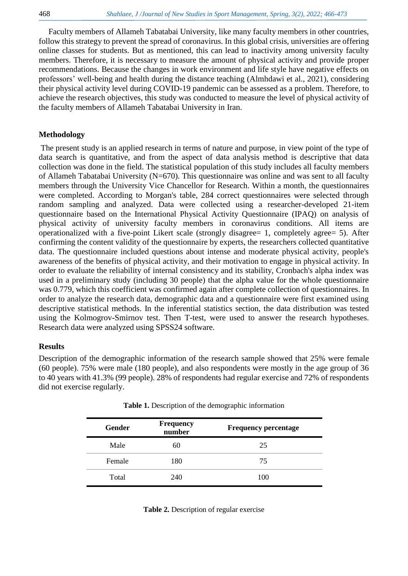Faculty members of Allameh Tabatabai University, like many faculty members in other countries, follow this strategy to prevent the spread of coronavirus. In this global crisis, universities are offering online classes for students. But as mentioned, this can lead to inactivity among university faculty members. Therefore, it is necessary to measure the amount of physical activity and provide proper recommendations. Because the changes in work environment and life style have negative effects on professors' well-being and health during the distance teaching [\(Almhdawi et al., 2021\)](#page-5-6), considering their physical activity level during COVID-19 pandemic can be assessed as a problem. Therefore, to achieve the research objectives, this study was conducted to measure the level of physical activity of the faculty members of Allameh Tabatabai University in Iran.

#### **Methodology**

The present study is an applied research in terms of nature and purpose, in view point of the type of data search is quantitative, and from the aspect of data analysis method is descriptive that data collection was done in the field. The statistical population of this study includes all faculty members of Allameh Tabatabai University (N=670). This questionnaire was online and was sent to all faculty members through the University Vice Chancellor for Research. Within a month, the questionnaires were completed. According to Morgan's table, 284 correct questionnaires were selected through random sampling and analyzed. Data were collected using a researcher-developed 21-item questionnaire based on the International Physical Activity Questionnaire (IPAQ) on analysis of physical activity of university faculty members in coronavirus conditions. All items are operationalized with a five-point Likert scale (strongly disagree= 1, completely agree= 5). After confirming the content validity of the questionnaire by experts, the researchers collected quantitative data. The questionnaire included questions about intense and moderate physical activity, people's awareness of the benefits of physical activity, and their motivation to engage in physical activity. In order to evaluate the reliability of internal consistency and its stability, Cronbach's alpha index was used in a preliminary study (including 30 people) that the alpha value for the whole questionnaire was 0.779, which this coefficient was confirmed again after complete collection of questionnaires. In order to analyze the research data, demographic data and a questionnaire were first examined using descriptive statistical methods. In the inferential statistics section, the data distribution was tested using the Kolmogrov-Smirnov test. Then T-test, were used to answer the research hypotheses. Research data were analyzed using SPSS24 software.

#### **Results**

Description of the demographic information of the research sample showed that 25% were female (60 people). 75% were male (180 people), and also respondents were mostly in the age group of 36 to 40 years with 41.3% (99 people). 28% of respondents had regular exercise and 72% of respondents did not exercise regularly.

| Gender | <b>Frequency</b><br>number | <b>Frequency percentage</b> |
|--------|----------------------------|-----------------------------|
| Male   | 60                         | 25                          |
| Female | 180                        | 75                          |
| Total  | 240                        | 100                         |

**Table 1.** Description of the demographic information

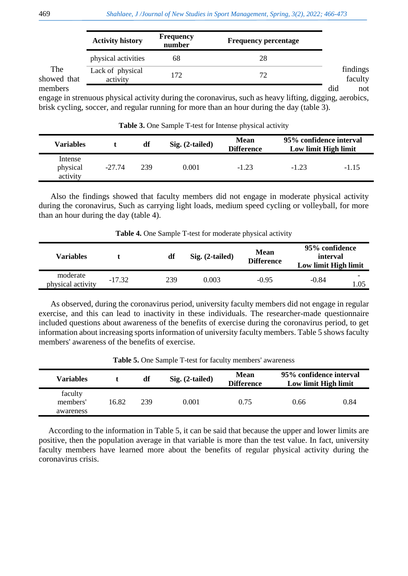|                    | <b>Activity history</b>      | <b>Frequency</b><br>number | <b>Frequency percentage</b>                                                                             |                     |
|--------------------|------------------------------|----------------------------|---------------------------------------------------------------------------------------------------------|---------------------|
|                    | physical activities          | 68                         | 28                                                                                                      |                     |
| The<br>showed that | Lack of physical<br>activity | 172                        | 72                                                                                                      | findings<br>faculty |
| members            |                              |                            |                                                                                                         | did<br>not          |
|                    |                              |                            | engage in strenuous physical activity during the coronavirus, such as heavy lifting, digging, aerobics, |                     |

engage in strenuous physical activity during the coronavirus, such as heavy lifting, digging, aerobics, brisk cycling, soccer, and regular running for more than an hour during the day (table 3).

**Table 3.** One Sample T-test for Intense physical activity

| Variables                       |          | df  | $Sig. (2-tailed)$ | Mean<br><b>Difference</b> | 95% confidence interval<br>Low limit High limit |         |
|---------------------------------|----------|-----|-------------------|---------------------------|-------------------------------------------------|---------|
| Intense<br>physical<br>activity | $-27.74$ | 239 | $0.001\,$         | $-1.23$                   | $-1.23$                                         | $-1.15$ |

Also the findings showed that faculty members did not engage in moderate physical activity during the coronavirus, Such as carrying light loads, medium speed cycling or volleyball, for more than an hour during the day (table 4).

| Variables                     |          | df  | $Sig. (2-tailed)$ | <b>Mean</b><br><b>Difference</b> | 95% confidence<br>interval<br>Low limit High limit |         |
|-------------------------------|----------|-----|-------------------|----------------------------------|----------------------------------------------------|---------|
| moderate<br>physical activity | $-17.32$ | 239 | 0.003             | $-0.95$                          | $-0.84$                                            | ۰<br>05 |

**Table 4.** One Sample T-test for moderate physical activity

As observed, during the coronavirus period, university faculty members did not engage in regular exercise, and this can lead to inactivity in these individuals. The researcher-made questionnaire included questions about awareness of the benefits of exercise during the coronavirus period, to get information about increasing sports information of university faculty members. Table 5 shows faculty members' awareness of the benefits of exercise.

**Table 5.** One Sample T-test for faculty members' awareness

| <b>Variables</b>                 |       | df  | $Sig. (2-tailed)$ | <b>Mean</b><br><b>Difference</b> | 95% confidence interval<br>Low limit High limit |      |
|----------------------------------|-------|-----|-------------------|----------------------------------|-------------------------------------------------|------|
| faculty<br>members'<br>awareness | 16.82 | 239 | 0.001             | 0.75                             | 0.66                                            | 0.84 |

According to the information in Table 5, it can be said that because the upper and lower limits are positive, then the population average in that variable is more than the test value. In fact, university faculty members have learned more about the benefits of regular physical activity during the coronavirus crisis.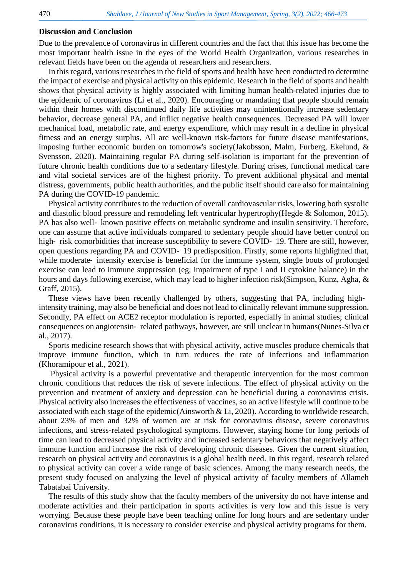#### **Discussion and Conclusion**

Due to the prevalence of coronavirus in different countries and the fact that this issue has become the most important health issue in the eyes of the World Health Organization, various researches in relevant fields have been on the agenda of researchers and researchers.

In this regard, various researches in the field of sports and health have been conducted to determine the impact of exercise and physical activity on this epidemic. Research in the field of sports and health shows that physical activity is highly associated with limiting human health-related injuries due to the epidemic of coronavirus [\(Li et al., 2020\)](#page-6-7). Encouraging or mandating that people should remain within their homes with discontinued daily life activities may unintentionally increase sedentary behavior, decrease general PA, and inflict negative health consequences. Decreased PA will lower mechanical load, metabolic rate, and energy expenditure, which may result in a decline in physical fitness and an energy surplus. All are well-known risk-factors for future disease manifestations, imposing further economic burden on tomorrow's society[\(Jakobsson, Malm, Furberg, Ekelund, &](#page-6-16)  [Svensson, 2020\)](#page-6-16). Maintaining regular PA during self-isolation is important for the prevention of future chronic health conditions due to a sedentary lifestyle. During crises, functional medical care and vital societal services are of the highest priority. To prevent additional physical and mental distress, governments, public health authorities, and the public itself should care also for maintaining PA during the COVID-19 pandemic.

Physical activity contributes to the reduction of overall cardiovascular risks, lowering both systolic and diastolic blood pressure and remodeling left ventricular hypertrophy[\(Hegde & Solomon, 2015\)](#page-6-17). PA has also well- known positive effects on metabolic syndrome and insulin sensitivity. Therefore, one can assume that active individuals compared to sedentary people should have better control on high-risk comorbidities that increase susceptibility to severe COVID-19. There are still, however, open questions regarding PA and COVID‐ 19 predisposition. Firstly, some reports highlighted that, while moderate–intensity exercise is beneficial for the immune system, single bouts of prolonged exercise can lead to immune suppression (eg, impairment of type I and II cytokine balance) in the hours and days following exercise, which may lead to higher infection risk[\(Simpson, Kunz, Agha, &](#page-6-18)  [Graff, 2015\)](#page-6-18).

These views have been recently challenged by others, suggesting that PA, including highintensity training, may also be beneficial and does not lead to clinically relevant immune suppression. Secondly, PA effect on ACE2 receptor modulation is reported, especially in animal studies; clinical consequences on angiotensin‐ related pathways, however, are still unclear in humans[\(Nunes-Silva et](#page-6-19)  [al., 2017\)](#page-6-19).

Sports medicine research shows that with physical activity, active muscles produce chemicals that improve immune function, which in turn reduces the rate of infections and inflammation [\(Khoramipour et al., 2021\)](#page-6-20).

Physical activity is a powerful preventative and therapeutic intervention for the most common chronic conditions that reduces the risk of severe infections. The effect of physical activity on the prevention and treatment of anxiety and depression can be beneficial during a coronavirus crisis. Physical activity also increases the effectiveness of vaccines, so an active lifestyle will continue to be associated with each stage of the epidemic[\(Ainsworth & Li, 2020\)](#page-5-7). According to worldwide research, about 23% of men and 32% of women are at risk for coronavirus disease, severe coronavirus infections, and stress-related psychological symptoms. However, staying home for long periods of time can lead to decreased physical activity and increased sedentary behaviors that negatively affect immune function and increase the risk of developing chronic diseases. Given the current situation, research on physical activity and coronavirus is a global health need. In this regard, research related to physical activity can cover a wide range of basic sciences. Among the many research needs, the present study focused on analyzing the level of physical activity of faculty members of Allameh Tabatabai University.

The results of this study show that the faculty members of the university do not have intense and moderate activities and their participation in sports activities is very low and this issue is very worrying. Because these people have been teaching online for long hours and are sedentary under coronavirus conditions, it is necessary to consider exercise and physical activity programs for them.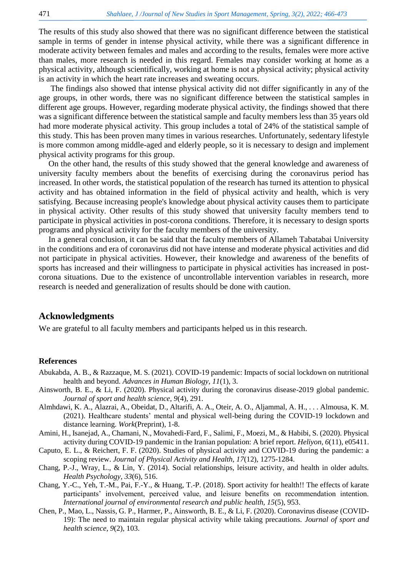The results of this study also showed that there was no significant difference between the statistical sample in terms of gender in intense physical activity, while there was a significant difference in moderate activity between females and males and according to the results, females were more active than males, more research is needed in this regard. Females may consider working at home as a physical activity, although scientifically, working at home is not a physical activity; physical activity is an activity in which the heart rate increases and sweating occurs.

The findings also showed that intense physical activity did not differ significantly in any of the age groups, in other words, there was no significant difference between the statistical samples in different age groups. However, regarding moderate physical activity, the findings showed that there was a significant difference between the statistical sample and faculty members less than 35 years old had more moderate physical activity. This group includes a total of 24% of the statistical sample of this study. This has been proven many times in various researches. Unfortunately, sedentary lifestyle is more common among middle-aged and elderly people, so it is necessary to design and implement physical activity programs for this group.

On the other hand, the results of this study showed that the general knowledge and awareness of university faculty members about the benefits of exercising during the coronavirus period has increased. In other words, the statistical population of the research has turned its attention to physical activity and has obtained information in the field of physical activity and health, which is very satisfying. Because increasing people's knowledge about physical activity causes them to participate in physical activity. Other results of this study showed that university faculty members tend to participate in physical activities in post-corona conditions. Therefore, it is necessary to design sports programs and physical activity for the faculty members of the university.

In a general conclusion, it can be said that the faculty members of Allameh Tabatabai University in the conditions and era of coronavirus did not have intense and moderate physical activities and did not participate in physical activities. However, their knowledge and awareness of the benefits of sports has increased and their willingness to participate in physical activities has increased in postcorona situations. Due to the existence of uncontrollable intervention variables in research, more research is needed and generalization of results should be done with caution.

### **Acknowledgments**

We are grateful to all faculty members and participants helped us in this research.

#### **References**

- <span id="page-5-1"></span>Abukabda, A. B., & Razzaque, M. S. (2021). COVID-19 pandemic: Impacts of social lockdown on nutritional health and beyond. *Advances in Human Biology, 11*(1), 3.
- <span id="page-5-7"></span>Ainsworth, B. E., & Li, F. (2020). Physical activity during the coronavirus disease-2019 global pandemic. *Journal of sport and health science, 9*(4), 291.
- <span id="page-5-6"></span>Almhdawi, K. A., Alazrai, A., Obeidat, D., Altarifi, A. A., Oteir, A. O., Aljammal, A. H., . . . Almousa, K. M. (2021). Healthcare students' mental and physical well-being during the COVID-19 lockdown and distance learning. *Work*(Preprint), 1-8.
- <span id="page-5-4"></span>Amini, H., Isanejad, A., Chamani, N., Movahedi-Fard, F., Salimi, F., Moezi, M., & Habibi, S. (2020). Physical activity during COVID-19 pandemic in the Iranian population: A brief report. *Heliyon, 6*(11), e05411.
- <span id="page-5-5"></span>Caputo, E. L., & Reichert, F. F. (2020). Studies of physical activity and COVID-19 during the pandemic: a scoping review. *Journal of Physical Activity and Health, 17*(12), 1275-1284.
- <span id="page-5-2"></span>Chang, P.-J., Wray, L., & Lin, Y. (2014). Social relationships, leisure activity, and health in older adults. *Health Psychology, 33*(6), 516.
- <span id="page-5-3"></span>Chang, Y.-C., Yeh, T.-M., Pai, F.-Y., & Huang, T.-P. (2018). Sport activity for health!! The effects of karate participants' involvement, perceived value, and leisure benefits on recommendation intention. *International journal of environmental research and public health, 15*(5), 953.
- <span id="page-5-0"></span>Chen, P., Mao, L., Nassis, G. P., Harmer, P., Ainsworth, B. E., & Li, F. (2020). Coronavirus disease (COVID-19): The need to maintain regular physical activity while taking precautions. *Journal of sport and health science, 9*(2), 103.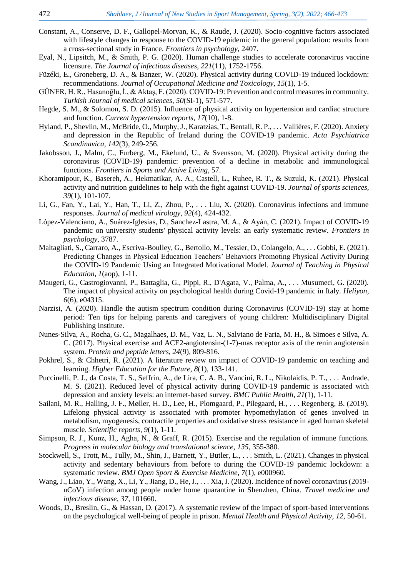- <span id="page-6-12"></span>Constant, A., Conserve, D. F., Gallopel-Morvan, K., & Raude, J. (2020). Socio-cognitive factors associated with lifestyle changes in response to the COVID-19 epidemic in the general population: results from a cross-sectional study in France. *Frontiers in psychology*, 2407.
- <span id="page-6-1"></span>Eyal, N., Lipsitch, M., & Smith, P. G. (2020). Human challenge studies to accelerate coronavirus vaccine licensure. *The Journal of infectious diseases, 221*(11), 1752-1756.
- <span id="page-6-9"></span>Füzéki, E., Groneberg, D. A., & Banzer, W. (2020). Physical activity during COVID-19 induced lockdown: recommendations. *Journal of Occupational Medicine and Toxicology, 15*(1), 1-5.
- <span id="page-6-14"></span>GÜNER, H. R., Hasanoğlu, İ., & Aktaş, F. (2020). COVID-19: Prevention and control measures in community. *Turkish Journal of medical sciences, 50*(SI-1), 571-577.
- <span id="page-6-17"></span>Hegde, S. M., & Solomon, S. D. (2015). Influence of physical activity on hypertension and cardiac structure and function. *Current hypertension reports, 17*(10), 1-8.
- <span id="page-6-4"></span>Hyland, P., Shevlin, M., McBride, O., Murphy, J., Karatzias, T., Bentall, R. P., . . . Vallières, F. (2020). Anxiety and depression in the Republic of Ireland during the COVID‐19 pandemic. *Acta Psychiatrica Scandinavica, 142*(3), 249-256.
- <span id="page-6-16"></span>Jakobsson, J., Malm, C., Furberg, M., Ekelund, U., & Svensson, M. (2020). Physical activity during the coronavirus (COVID-19) pandemic: prevention of a decline in metabolic and immunological functions. *Frontiers in Sports and Active Living*, 57.
- <span id="page-6-20"></span>Khoramipour, K., Basereh, A., Hekmatikar, A. A., Castell, L., Ruhee, R. T., & Suzuki, K. (2021). Physical activity and nutrition guidelines to help with the fight against COVID-19. *Journal of sports sciences, 39*(1), 101-107.
- <span id="page-6-7"></span>Li, G., Fan, Y., Lai, Y., Han, T., Li, Z., Zhou, P., . . . Liu, X. (2020). Coronavirus infections and immune responses. *Journal of medical virology, 92*(4), 424-432.
- <span id="page-6-15"></span>López-Valenciano, A., Suárez-Iglesias, D., Sanchez-Lastra, M. A., & Ayán, C. (2021). Impact of COVID-19 pandemic on university students' physical activity levels: an early systematic review. *Frontiers in psychology*, 3787.
- <span id="page-6-13"></span>Maltagliati, S., Carraro, A., Escriva-Boulley, G., Bertollo, M., Tessier, D., Colangelo, A., . . . Gobbi, E. (2021). Predicting Changes in Physical Education Teachers' Behaviors Promoting Physical Activity During the COVID-19 Pandemic Using an Integrated Motivational Model. *Journal of Teaching in Physical Education, 1*(aop), 1-11.
- <span id="page-6-10"></span>Maugeri, G., Castrogiovanni, P., Battaglia, G., Pippi, R., D'Agata, V., Palma, A., . . . Musumeci, G. (2020). The impact of physical activity on psychological health during Covid-19 pandemic in Italy. *Heliyon, 6*(6), e04315.
- <span id="page-6-3"></span>Narzisi, A. (2020). Handle the autism spectrum condition during Coronavirus (COVID-19) stay at home period: Ten tips for helping parents and caregivers of young children: Multidisciplinary Digital Publishing Institute.
- <span id="page-6-19"></span>Nunes-Silva, A., Rocha, G. C., Magalhaes, D. M., Vaz, L. N., Salviano de Faria, M. H., & Simoes e Silva, A. C. (2017). Physical exercise and ACE2-angiotensin-(1-7)-mas receptor axis of the renin angiotensin system. *Protein and peptide letters, 24*(9), 809-816.
- <span id="page-6-0"></span>Pokhrel, S., & Chhetri, R. (2021). A literature review on impact of COVID-19 pandemic on teaching and learning. *Higher Education for the Future, 8*(1), 133-141.
- <span id="page-6-11"></span>Puccinelli, P. J., da Costa, T. S., Seffrin, A., de Lira, C. A. B., Vancini, R. L., Nikolaidis, P. T., . . . Andrade, M. S. (2021). Reduced level of physical activity during COVID-19 pandemic is associated with depression and anxiety levels: an internet-based survey. *BMC Public Health, 21*(1), 1-11.
- <span id="page-6-5"></span>Sailani, M. R., Halling, J. F., Møller, H. D., Lee, H., Plomgaard, P., Pilegaard, H., . . . Regenberg, B. (2019). Lifelong physical activity is associated with promoter hypomethylation of genes involved in metabolism, myogenesis, contractile properties and oxidative stress resistance in aged human skeletal muscle. *Scientific reports, 9*(1), 1-11.
- <span id="page-6-18"></span>Simpson, R. J., Kunz, H., Agha, N., & Graff, R. (2015). Exercise and the regulation of immune functions. *Progress in molecular biology and translational science, 135*, 355-380.
- <span id="page-6-2"></span>Stockwell, S., Trott, M., Tully, M., Shin, J., Barnett, Y., Butler, L., . . . Smith, L. (2021). Changes in physical activity and sedentary behaviours from before to during the COVID-19 pandemic lockdown: a systematic review. *BMJ Open Sport & Exercise Medicine, 7*(1), e000960.
- <span id="page-6-8"></span>Wang, J., Liao, Y., Wang, X., Li, Y., Jiang, D., He, J., . . . Xia, J. (2020). Incidence of novel coronavirus (2019nCoV) infection among people under home quarantine in Shenzhen, China. *Travel medicine and infectious disease, 37*, 101660.
- <span id="page-6-6"></span>Woods, D., Breslin, G., & Hassan, D. (2017). A systematic review of the impact of sport-based interventions on the psychological well-being of people in prison. *Mental Health and Physical Activity, 12*, 50-61.